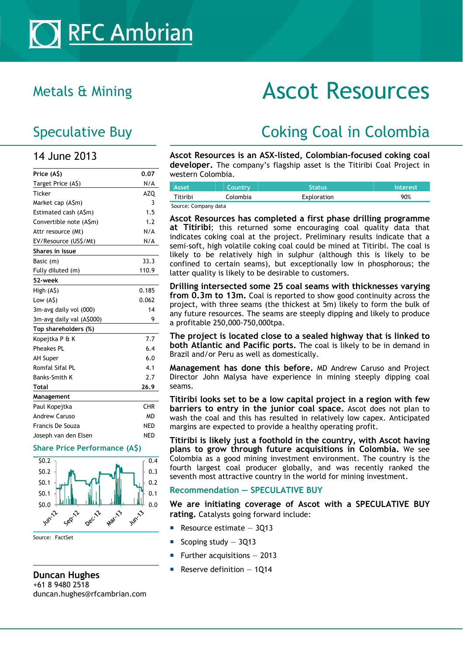## 14 June 2013

| Price (A\$)               | 0.07       |
|---------------------------|------------|
| Target Price (A\$)        | N/A        |
| <b>Ticker</b>             | <b>AZQ</b> |
| Market cap (A\$m)         | 3          |
| Estimated cash (A\$m)     | 1.5        |
| Convertible note (A\$m)   | 1.2        |
| Attr resource (Mt)        | N/A        |
| EV/Resource (US\$/Mt)     | N/A        |
| Shares in issue           |            |
| Basic (m)                 | 33.3       |
| Fully diluted (m)         | 110.9      |
| 52-week                   |            |
| High (A\$)                | 0.185      |
| Low $(A\hat{S})$          | 0.062      |
| 3m-avg daily vol (000)    | 14         |
| 3m-avg daily val (A\$000) | 9          |
| Top shareholders (%)      |            |
| Kopejtka P & K            | 7.7        |
| <b>Pheakes PL</b>         | 6.4        |
| <b>AH Super</b>           | 6.0        |
| Romfal Sifal PL           | 4.1        |
| <b>Banks-Smith K</b>      | 2.7        |
| Total                     | 26.9       |
| Management                |            |
| Paul Kopejtka             | <b>CHR</b> |
| <b>Andrew Caruso</b>      | <b>MD</b>  |
| Francis De Souza          | NED        |
| Joseph van den Elsen      | <b>NED</b> |
|                           |            |

#### **Share Price Performance (A\$)**



Source: FactSet

#### **Duncan Hughes**  +61 8 9480 2518 duncan.hughes@rfcambrian.com

# Metals & Mining **ASCOT Resources**

# Speculative Buy **Coking Coal in Colombia**

**Ascot Resources is an ASX-listed, Colombian-focused coking coal developer.** The company's flagship asset is the Titiribi Coal Project in western Colombia.

| Asset                | Country  | <b>Status</b> | <b>Interest</b> |
|----------------------|----------|---------------|-----------------|
| Titiribi             | Colombia | Exploration   | 90%             |
| Source: Company data |          |               |                 |

**Ascot Resources has completed a first phase drilling programme at Titiribi**; this returned some encouraging coal quality data that indicates coking coal at the project. Preliminary results indicate that a semi-soft, high volatile coking coal could be mined at Titiribi. The coal is likely to be relatively high in sulphur (although this is likely to be confined to certain seams), but exceptionally low in phosphorous; the latter quality is likely to be desirable to customers.

**Drilling intersected some 25 coal seams with thicknesses varying from 0.3m to 13m.** Coal is reported to show good continuity across the project, with three seams (the thickest at 5m) likely to form the bulk of any future resources. The seams are steeply dipping and likely to produce a profitable 250,000-750,000tpa.

**The project is located close to a sealed highway that is linked to both Atlantic and Pacific ports.** The coal is likely to be in demand in Brazil and/or Peru as well as domestically.

**Management has done this before.** MD Andrew Caruso and Project Director John Malysa have experience in mining steeply dipping coal seams.

**Titiribi looks set to be a low capital project in a region with few barriers to entry in the junior coal space.** Ascot does not plan to wash the coal and this has resulted in relatively low capex. Anticipated margins are expected to provide a healthy operating profit.

**Titiribi is likely just a foothold in the country, with Ascot having plans to grow through future acquisitions in Colombia.** We see Colombia as a good mining investment environment. The country is the fourth largest coal producer globally, and was recently ranked the seventh most attractive country in the world for mining investment.

### **Recommendation — SPECULATIVE BUY**

**We are initiating coverage of Ascot with a SPECULATIVE BUY rating.** Catalysts going forward include:

- Resource estimate 3Q13
- Scoping study 3Q13
- Further acquisitions 2013
- Reserve definition 1Q14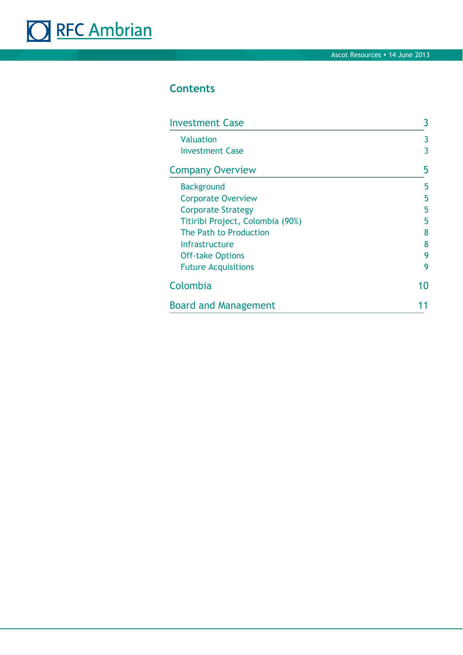# ORFC Ambrian

# **Contents**

| <b>Investment Case</b>              | 3      |
|-------------------------------------|--------|
| <b>Valuation</b><br>Investment Case | 3<br>3 |
| <b>Company Overview</b>             | 5      |
| <b>Background</b>                   | 5      |
| <b>Corporate Overview</b>           | 5      |
| <b>Corporate Strategy</b>           | 5      |
| Titiribi Project, Colombia (90%)    | 5      |
| The Path to Production              | 8      |
| <b>Infrastructure</b>               | 8      |
| <b>Off-take Options</b>             |        |
| <b>Future Acquisitions</b>          | 9      |
| Colombia                            | 10     |
| <b>Board and Management</b>         |        |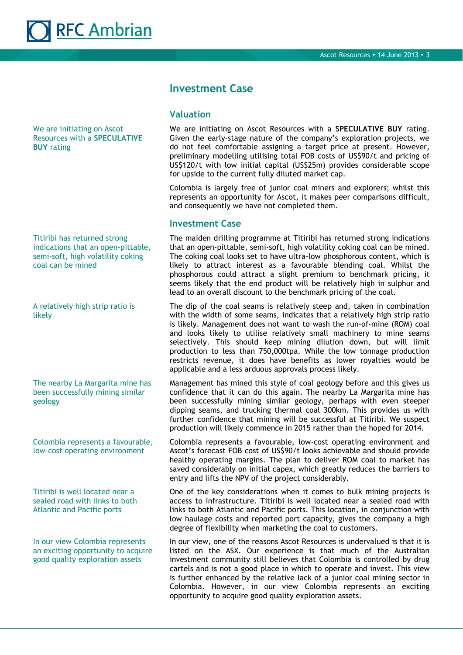

We are initiating on Ascot Resources with a **SPECULATIVE BUY** rating

Titiribi has returned strong indications that an open-pittable, semi-soft, high volatility coking coal can be mined

A relatively high strip ratio is likely

The nearby La Margarita mine has been successfully mining similar geology

Colombia represents a favourable, low-cost operating environment

Titiribi is well located near a sealed road with links to both Atlantic and Pacific ports

In our view Colombia represents an exciting opportunity to acquire good quality exploration assets

## **Investment Case**

#### **Valuation**

We are initiating on Ascot Resources with a **SPECULATIVE BUY** rating. Given the early-stage nature of the company's exploration projects, we do not feel comfortable assigning a target price at present. However, preliminary modelling utilising total FOB costs of US\$90/t and pricing of US\$120/t with low initial capital (US\$25m) provides considerable scope for upside to the current fully diluted market cap.

Colombia is largely free of junior coal miners and explorers; whilst this represents an opportunity for Ascot, it makes peer comparisons difficult, and consequently we have not completed them.

#### **Investment Case**

The maiden drilling programme at Titiribi has returned strong indications that an open-pittable, semi-soft, high volatility coking coal can be mined. The coking coal looks set to have ultra-low phosphorous content, which is likely to attract interest as a favourable blending coal. Whilst the phosphorous could attract a slight premium to benchmark pricing, it seems likely that the end product will be relatively high in sulphur and lead to an overall discount to the benchmark pricing of the coal.

The dip of the coal seams is relatively steep and, taken in combination with the width of some seams, indicates that a relatively high strip ratio is likely. Management does not want to wash the run-of-mine (ROM) coal and looks likely to utilise relatively small machinery to mine seams selectively. This should keep mining dilution down, but will limit production to less than 750,000tpa. While the low tonnage production restricts revenue, it does have benefits as lower royalties would be applicable and a less arduous approvals process likely.

Management has mined this style of coal geology before and this gives us confidence that it can do this again. The nearby La Margarita mine has been successfully mining similar geology, perhaps with even steeper dipping seams, and trucking thermal coal 300km. This provides us with further confidence that mining will be successful at Titiribi. We suspect production will likely commence in 2015 rather than the hoped for 2014.

Colombia represents a favourable, low-cost operating environment and Ascot's forecast FOB cost of US\$90/t looks achievable and should provide healthy operating margins. The plan to deliver ROM coal to market has saved considerably on initial capex, which greatly reduces the barriers to entry and lifts the NPV of the project considerably.

One of the key considerations when it comes to bulk mining projects is access to infrastructure. Titiribi is well located near a sealed road with links to both Atlantic and Pacific ports. This location, in conjunction with low haulage costs and reported port capacity, gives the company a high degree of flexibility when marketing the coal to customers.

In our view, one of the reasons Ascot Resources is undervalued is that it is listed on the ASX. Our experience is that much of the Australian investment community still believes that Colombia is controlled by drug cartels and is not a good place in which to operate and invest. This view is further enhanced by the relative lack of a junior coal mining sector in Colombia. However, in our view Colombia represents an exciting opportunity to acquire good quality exploration assets.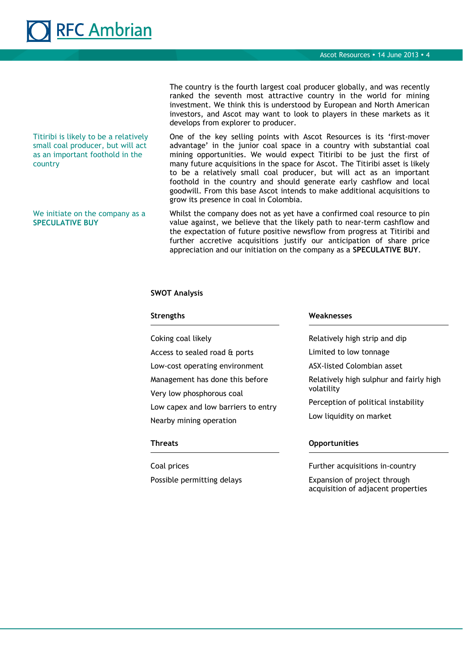# **RFC Ambrian**

Titiribi is likely to be a relatively small coal producer, but will act as an important foothold in the country

We initiate on the company as a **SPECULATIVE BUY**

The country is the fourth largest coal producer globally, and was recently ranked the seventh most attractive country in the world for mining investment. We think this is understood by European and North American investors, and Ascot may want to look to players in these markets as it develops from explorer to producer.

One of the key selling points with Ascot Resources is its 'first-mover advantage' in the junior coal space in a country with substantial coal mining opportunities. We would expect Titiribi to be just the first of many future acquisitions in the space for Ascot. The Titiribi asset is likely to be a relatively small coal producer, but will act as an important foothold in the country and should generate early cashflow and local goodwill. From this base Ascot intends to make additional acquisitions to grow its presence in coal in Colombia.

Whilst the company does not as yet have a confirmed coal resource to pin value against, we believe that the likely path to near-term cashflow and the expectation of future positive newsflow from progress at Titiribi and further accretive acquisitions justify our anticipation of share price appreciation and our initiation on the company as a **SPECULATIVE BUY**.

#### **SWOT Analysis**

| <b>Strengths</b>                                               | Weaknesses                                                                                                              |  |  |
|----------------------------------------------------------------|-------------------------------------------------------------------------------------------------------------------------|--|--|
| Coking coal likely                                             | Relatively high strip and dip                                                                                           |  |  |
| Access to sealed road & ports                                  | Limited to low tonnage                                                                                                  |  |  |
| Low-cost operating environment                                 | ASX-listed Colombian asset                                                                                              |  |  |
| Management has done this before<br>Very low phosphorous coal   | Relatively high sulphur and fairly high<br>volatility<br>Perception of political instability<br>Low liquidity on market |  |  |
| Low capex and low barriers to entry<br>Nearby mining operation |                                                                                                                         |  |  |
| Threats                                                        | <b>Opportunities</b>                                                                                                    |  |  |

Coal prices Possible permitting delays

#### Further acquisitions in-country

Expansion of project through acquisition of adjacent properties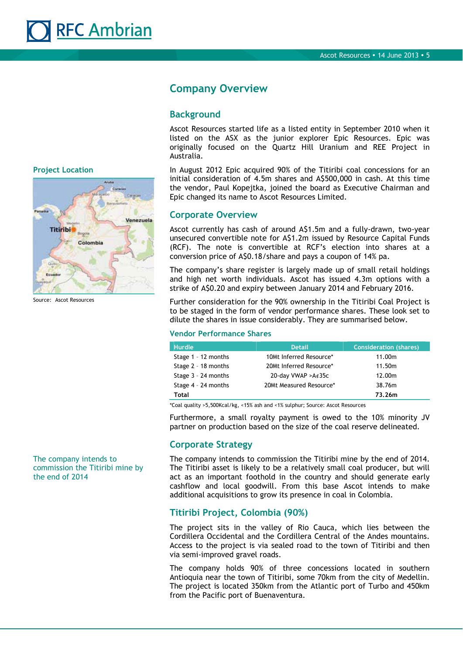

**Company Overview** 

#### **Background**

Ascot Resources started life as a listed entity in September 2010 when it listed on the ASX as the junior explorer Epic Resources. Epic was originally focused on the Quartz Hill Uranium and REE Project in Australia.

In August 2012 Epic acquired 90% of the Titiribi coal concessions for an initial consideration of 4.5m shares and A\$500,000 in cash. At this time the vendor, Paul Kopejtka, joined the board as Executive Chairman and Epic changed its name to Ascot Resources Limited.

#### **Corporate Overview**

Ascot currently has cash of around A\$1.5m and a fully-drawn, two-year unsecured convertible note for A\$1.2m issued by Resource Capital Funds (RCF). The note is convertible at RCF's election into shares at a conversion price of A\$0.18/share and pays a coupon of 14% pa.

The company's share register is largely made up of small retail holdings and high net worth individuals. Ascot has issued 4.3m options with a strike of A\$0.20 and expiry between January 2014 and February 2016.

Further consideration for the 90% ownership in the Titiribi Coal Project is to be staged in the form of vendor performance shares. These look set to dilute the shares in issue considerably. They are summarised below.

#### **Vendor Performance Shares**

| <b>Hurdle</b>         | <b>Detail</b>                | <b>Consideration (shares)</b> |
|-----------------------|------------------------------|-------------------------------|
| Stage 1 - 12 months   | 10Mt Inferred Resource*      | 11.00m                        |
| Stage 2 - 18 months   | 20Mt Inferred Resource*      | 11.50m                        |
| Stage $3 - 24$ months | 20-day VWAP > $A \notin 35c$ | 12.00m                        |
| Stage $4 - 24$ months | 20Mt Measured Resource*      | 38.76m                        |
| Total                 |                              | 73.26m                        |

\*Coal quality >5,500Kcal/kg, <15% ash and <1% sulphur; Source: Ascot Resources

Furthermore, a small royalty payment is owed to the 10% minority JV partner on production based on the size of the coal reserve delineated.

#### **Corporate Strategy**

The company intends to commission the Titiribi mine by the end of 2014. The Titiribi asset is likely to be a relatively small coal producer, but will act as an important foothold in the country and should generate early cashflow and local goodwill. From this base Ascot intends to make additional acquisitions to grow its presence in coal in Colombia.

#### **Titiribi Project, Colombia (90%)**

The project sits in the valley of Rio Cauca, which lies between the Cordillera Occidental and the Cordillera Central of the Andes mountains. Access to the project is via sealed road to the town of Titiribi and then via semi-improved gravel roads.

The company holds 90% of three concessions located in southern Antioquia near the town of Titiribi, some 70km from the city of Medellin. The project is located 350km from the Atlantic port of Turbo and 450km from the Pacific port of Buenaventura.

**Project Location** 



Source: Ascot Resources

The company intends to commission the Titiribi mine by the end of 2014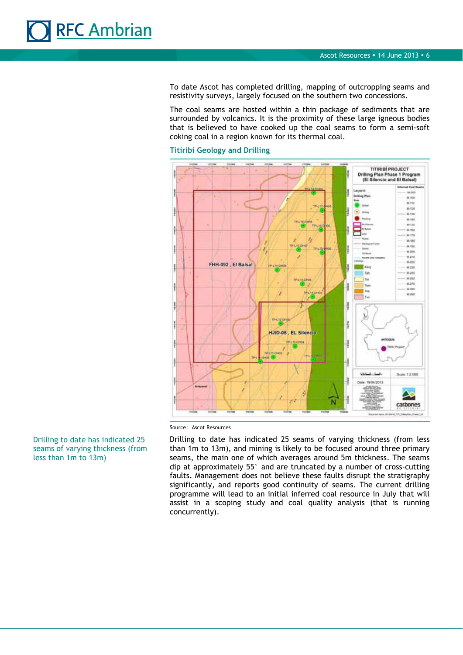

To date Ascot has completed drilling, mapping of outcropping seams and resistivity surveys, largely focused on the southern two concessions.

The coal seams are hosted within a thin package of sediments that are surrounded by volcanics. It is the proximity of these large igneous bodies that is believed to have cooked up the coal seams to form a semi-soft coking coal in a region known for its thermal coal.

#### **Titiribi Geology and Drilling**



Source: Ascot Resources

Drilling to date has indicated 25 seams of varying thickness (from less than 1m to 13m), and mining is likely to be focused around three primary seams, the main one of which averages around 5m thickness. The seams dip at approximately 55° and are truncated by a number of cross-cutting faults. Management does not believe these faults disrupt the stratigraphy significantly, and reports good continuity of seams. The current drilling programme will lead to an initial inferred coal resource in July that will assist in a scoping study and coal quality analysis (that is running concurrently).

Drilling to date has indicated 25 seams of varying thickness (from less than 1m to 13m)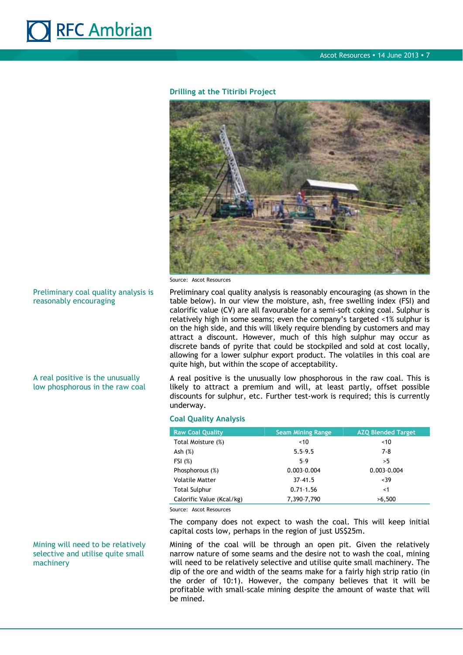

#### **Drilling at the Titiribi Project**



Source: Ascot Resources

Preliminary coal quality analysis is reasonably encouraging (as shown in the table below). In our view the moisture, ash, free swelling index (FSI) and calorific value (CV) are all favourable for a semi-soft coking coal. Sulphur is relatively high in some seams; even the company's targeted <1% sulphur is on the high side, and this will likely require blending by customers and may attract a discount. However, much of this high sulphur may occur as discrete bands of pyrite that could be stockpiled and sold at cost locally, allowing for a lower sulphur export product. The volatiles in this coal are quite high, but within the scope of acceptability.

A real positive is the unusually low phosphorous in the raw coal. This is likely to attract a premium and will, at least partly, offset possible discounts for sulphur, etc. Further test-work is required; this is currently underway.

#### **Coal Quality Analysis**

| <b>Raw Coal Quality</b>   | <b>Seam Mining Range</b> | <b>AZQ Blended Target</b> |
|---------------------------|--------------------------|---------------------------|
| Total Moisture (%)        | ~10                      | ~10                       |
| Ash $(\%)$                | $5.5 - 9.5$              | $7-8$                     |
| FSI(%)                    | $5-9$                    | >5                        |
| Phosphorous (%)           | $0.003 - 0.004$          | $0.003 - 0.004$           |
| <b>Volatile Matter</b>    | $37 - 41.5$              | <39                       |
| <b>Total Sulphur</b>      | $0.71 - 1.56$            | $\leq 1$                  |
| Calorific Value (Kcal/kg) | 7,390-7,790              | >6.500                    |

Source: Ascot Resources

The company does not expect to wash the coal. This will keep initial capital costs low, perhaps in the region of just US\$25m.

Mining of the coal will be through an open pit. Given the relatively narrow nature of some seams and the desire not to wash the coal, mining will need to be relatively selective and utilise quite small machinery. The dip of the ore and width of the seams make for a fairly high strip ratio (in the order of 10:1). However, the company believes that it will be profitable with small-scale mining despite the amount of waste that will be mined.

#### Preliminary coal quality analysis is reasonably encouraging

A real positive is the unusually low phosphorous in the raw coal

#### Mining will need to be relatively selective and utilise quite small machinery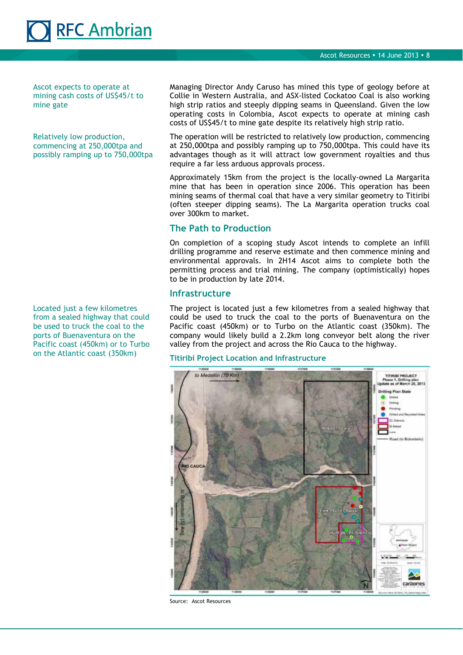Ascot expects to operate at mining cash costs of US\$45/t to mine gate

RFC Ambrian

Relatively low production, commencing at 250,000tpa and possibly ramping up to 750,000tpa

Located just a few kilometres from a sealed highway that could be used to truck the coal to the ports of Buenaventura on the Pacific coast (450km) or to Turbo on the Atlantic coast (350km)

Managing Director Andy Caruso has mined this type of geology before at Collie in Western Australia, and ASX-listed Cockatoo Coal is also working high strip ratios and steeply dipping seams in Queensland. Given the low operating costs in Colombia, Ascot expects to operate at mining cash costs of US\$45/t to mine gate despite its relatively high strip ratio.

The operation will be restricted to relatively low production, commencing at 250,000tpa and possibly ramping up to 750,000tpa. This could have its advantages though as it will attract low government royalties and thus require a far less arduous approvals process.

Approximately 15km from the project is the locally-owned La Margarita mine that has been in operation since 2006. This operation has been mining seams of thermal coal that have a very similar geometry to Titiribi (often steeper dipping seams). The La Margarita operation trucks coal over 300km to market.

### **The Path to Production**

On completion of a scoping study Ascot intends to complete an infill drilling programme and reserve estimate and then commence mining and environmental approvals. In 2H14 Ascot aims to complete both the permitting process and trial mining. The company (optimistically) hopes to be in production by late 2014.

#### **Infrastructure**

The project is located just a few kilometres from a sealed highway that could be used to truck the coal to the ports of Buenaventura on the Pacific coast (450km) or to Turbo on the Atlantic coast (350km). The company would likely build a 2.2km long conveyor belt along the river valley from the project and across the Rio Cauca to the highway.

#### **Titiribi Project Location and Infrastructure**



Source: Ascot Resources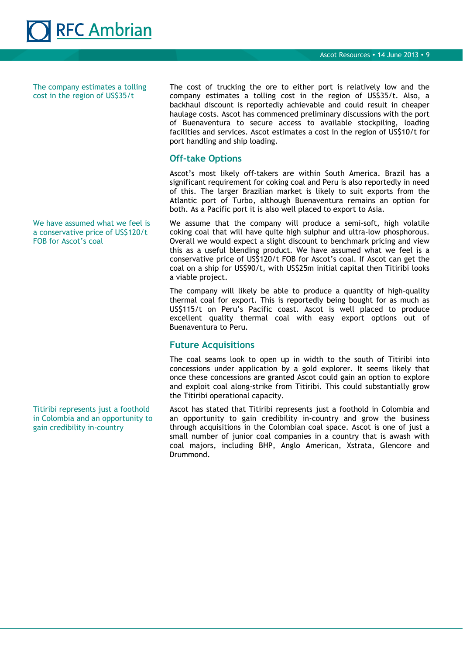

The company estimates a tolling cost in the region of US\$35/t

The cost of trucking the ore to either port is relatively low and the company estimates a tolling cost in the region of US\$35/t. Also, a backhaul discount is reportedly achievable and could result in cheaper haulage costs. Ascot has commenced preliminary discussions with the port of Buenaventura to secure access to available stockpiling, loading facilities and services. Ascot estimates a cost in the region of US\$10/t for port handling and ship loading.

### **Off-take Options**

Ascot's most likely off-takers are within South America. Brazil has a significant requirement for coking coal and Peru is also reportedly in need of this. The larger Brazilian market is likely to suit exports from the Atlantic port of Turbo, although Buenaventura remains an option for both. As a Pacific port it is also well placed to export to Asia.

We assume that the company will produce a semi-soft, high volatile coking coal that will have quite high sulphur and ultra-low phosphorous. Overall we would expect a slight discount to benchmark pricing and view this as a useful blending product. We have assumed what we feel is a conservative price of US\$120/t FOB for Ascot's coal. If Ascot can get the coal on a ship for US\$90/t, with US\$25m initial capital then Titiribi looks a viable project.

The company will likely be able to produce a quantity of high-quality thermal coal for export. This is reportedly being bought for as much as US\$115/t on Peru's Pacific coast. Ascot is well placed to produce excellent quality thermal coal with easy export options out of Buenaventura to Peru.

#### **Future Acquisitions**

The coal seams look to open up in width to the south of Titiribi into concessions under application by a gold explorer. It seems likely that once these concessions are granted Ascot could gain an option to explore and exploit coal along-strike from Titiribi. This could substantially grow the Titiribi operational capacity.

Ascot has stated that Titiribi represents just a foothold in Colombia and an opportunity to gain credibility in-country and grow the business through acquisitions in the Colombian coal space. Ascot is one of just a small number of junior coal companies in a country that is awash with coal majors, including BHP, Anglo American, Xstrata, Glencore and Drummond.

We have assumed what we feel is a conservative price of US\$120/t FOB for Ascot's coal

Titiribi represents just a foothold in Colombia and an opportunity to gain credibility in-country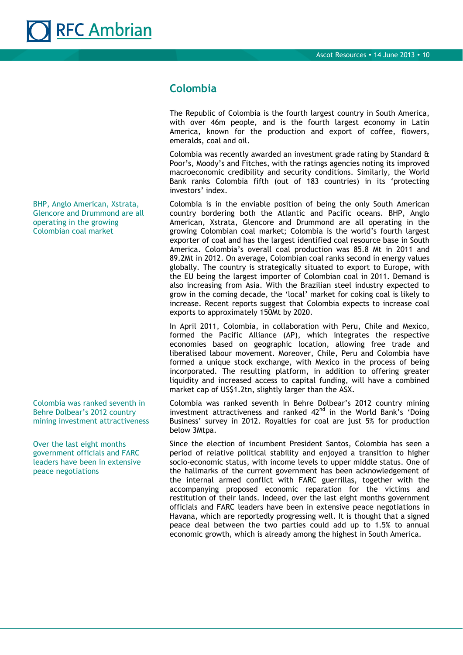## **Colombia**

The Republic of Colombia is the fourth largest country in South America, with over 46m people, and is the fourth largest economy in Latin America, known for the production and export of coffee, flowers, emeralds, coal and oil.

Colombia was recently awarded an investment grade rating by Standard & Poor's, Moody's and Fitches, with the ratings agencies noting its improved macroeconomic credibility and security conditions. Similarly, the World Bank ranks Colombia fifth (out of 183 countries) in its 'protecting investors' index.

Colombia is in the enviable position of being the only South American country bordering both the Atlantic and Pacific oceans. BHP, Anglo American, Xstrata, Glencore and Drummond are all operating in the growing Colombian coal market; Colombia is the world's fourth largest exporter of coal and has the largest identified coal resource base in South America. Colombia's overall coal production was 85.8 Mt in 2011 and 89.2Mt in 2012. On average, Colombian coal ranks second in energy values globally. The country is strategically situated to export to Europe, with the EU being the largest importer of Colombian coal in 2011. Demand is also increasing from Asia. With the Brazilian steel industry expected to grow in the coming decade, the 'local' market for coking coal is likely to increase. Recent reports suggest that Colombia expects to increase coal exports to approximately 150Mt by 2020.

In April 2011, Colombia, in collaboration with Peru, Chile and Mexico, formed the Pacific Alliance (AP), which integrates the respective economies based on geographic location, allowing free trade and liberalised labour movement. Moreover, Chile, Peru and Colombia have formed a unique stock exchange, with Mexico in the process of being incorporated. The resulting platform, in addition to offering greater liquidity and increased access to capital funding, will have a combined market cap of US\$1.2tn, slightly larger than the ASX.

Colombia was ranked seventh in Behre Dolbear's 2012 country mining investment attractiveness and ranked  $42<sup>nd</sup>$  in the World Bank's 'Doing Business' survey in 2012. Royalties for coal are just 5% for production below 3Mtpa.

Since the election of incumbent President Santos, Colombia has seen a period of relative political stability and enjoyed a transition to higher socio-economic status, with income levels to upper middle status. One of the hallmarks of the current government has been acknowledgement of the internal armed conflict with FARC guerrillas, together with the accompanying proposed economic reparation for the victims and restitution of their lands. Indeed, over the last eight months government officials and FARC leaders have been in extensive peace negotiations in Havana, which are reportedly progressing well. It is thought that a signed peace deal between the two parties could add up to 1.5% to annual economic growth, which is already among the highest in South America.

BHP, Anglo American, Xstrata, Glencore and Drummond are all operating in the growing Colombian coal market

Colombia was ranked seventh in Behre Dolbear's 2012 country mining investment attractiveness

Over the last eight months government officials and FARC leaders have been in extensive peace negotiations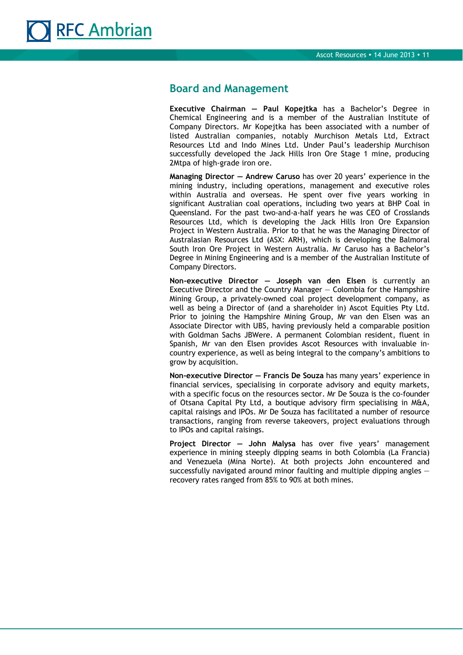

### **Board and Management**

**Executive Chairman — Paul Kopejtka** has a Bachelor's Degree in Chemical Engineering and is a member of the Australian Institute of Company Directors. Mr Kopejtka has been associated with a number of listed Australian companies, notably Murchison Metals Ltd, Extract Resources Ltd and Indo Mines Ltd. Under Paul's leadership Murchison successfully developed the Jack Hills Iron Ore Stage 1 mine, producing 2Mtpa of high-grade iron ore.

**Managing Director — Andrew Caruso** has over 20 years' experience in the mining industry, including operations, management and executive roles within Australia and overseas. He spent over five years working in significant Australian coal operations, including two years at BHP Coal in Queensland. For the past two-and-a-half years he was CEO of Crosslands Resources Ltd, which is developing the Jack Hills Iron Ore Expansion Project in Western Australia. Prior to that he was the Managing Director of Australasian Resources Ltd (ASX: ARH), which is developing the Balmoral South Iron Ore Project in Western Australia. Mr Caruso has a Bachelor's Degree in Mining Engineering and is a member of the Australian Institute of Company Directors.

**Non-executive Director — Joseph van den Elsen** is currently an Executive Director and the Country Manager — Colombia for the Hampshire Mining Group, a privately-owned coal project development company, as well as being a Director of (and a shareholder in) Ascot Equities Pty Ltd. Prior to joining the Hampshire Mining Group, Mr van den Elsen was an Associate Director with UBS, having previously held a comparable position with Goldman Sachs JBWere. A permanent Colombian resident, fluent in Spanish, Mr van den Elsen provides Ascot Resources with invaluable incountry experience, as well as being integral to the company's ambitions to grow by acquisition.

**Non-executive Director — Francis De Souza** has many years' experience in financial services, specialising in corporate advisory and equity markets, with a specific focus on the resources sector. Mr De Souza is the co-founder of Otsana Capital Pty Ltd, a boutique advisory firm specialising in M&A, capital raisings and IPOs. Mr De Souza has facilitated a number of resource transactions, ranging from reverse takeovers, project evaluations through to IPOs and capital raisings.

**Project Director — John Malysa** has over five years' management experience in mining steeply dipping seams in both Colombia (La Francia) and Venezuela (Mina Norte). At both projects John encountered and successfully navigated around minor faulting and multiple dipping angles recovery rates ranged from 85% to 90% at both mines.